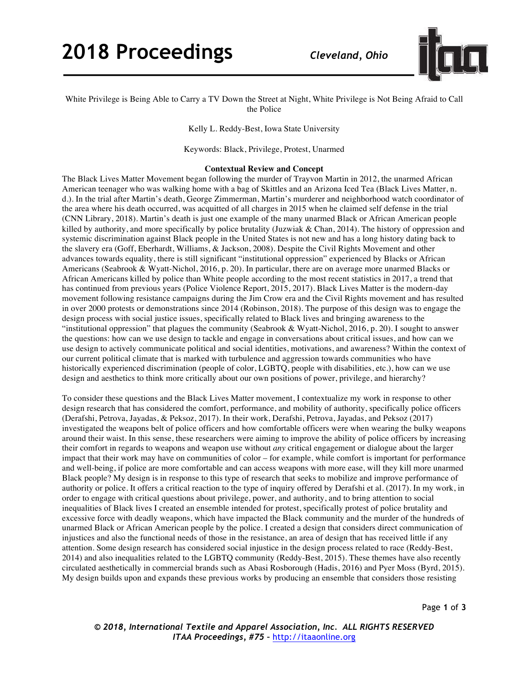# **2018 Proceedings** *Cleveland, Ohio*



# White Privilege is Being Able to Carry a TV Down the Street at Night, White Privilege is Not Being Afraid to Call the Police

Kelly L. Reddy-Best, Iowa State University

Keywords: Black, Privilege, Protest, Unarmed

#### **Contextual Review and Concept**

The Black Lives Matter Movement began following the murder of Trayvon Martin in 2012, the unarmed African American teenager who was walking home with a bag of Skittles and an Arizona Iced Tea (Black Lives Matter, n. d.). In the trial after Martin's death, George Zimmerman, Martin's murderer and neighborhood watch coordinator of the area where his death occurred, was acquitted of all charges in 2015 when he claimed self defense in the trial (CNN Library, 2018). Martin's death is just one example of the many unarmed Black or African American people killed by authority, and more specifically by police brutality (Juzwiak & Chan, 2014). The history of oppression and systemic discrimination against Black people in the United States is not new and has a long history dating back to the slavery era (Goff, Eberhardt, Williams, & Jackson, 2008). Despite the Civil Rights Movement and other advances towards equality, there is still significant "institutional oppression" experienced by Blacks or African Americans (Seabrook & Wyatt-Nichol, 2016, p. 20). In particular, there are on average more unarmed Blacks or African Americans killed by police than White people according to the most recent statistics in 2017, a trend that has continued from previous years (Police Violence Report, 2015, 2017). Black Lives Matter is the modern-day movement following resistance campaigns during the Jim Crow era and the Civil Rights movement and has resulted in over 2000 protests or demonstrations since 2014 (Robinson, 2018). The purpose of this design was to engage the design process with social justice issues, specifically related to Black lives and bringing awareness to the "institutional oppression" that plagues the community (Seabrook & Wyatt-Nichol, 2016, p. 20). I sought to answer the questions: how can we use design to tackle and engage in conversations about critical issues, and how can we use design to actively communicate political and social identities, motivations, and awareness? Within the context of our current political climate that is marked with turbulence and aggression towards communities who have historically experienced discrimination (people of color, LGBTQ, people with disabilities, etc.), how can we use design and aesthetics to think more critically about our own positions of power, privilege, and hierarchy?

To consider these questions and the Black Lives Matter movement, I contextualize my work in response to other design research that has considered the comfort, performance, and mobility of authority, specifically police officers (Derafshi, Petrova, Jayadas, & Peksoz, 2017). In their work, Derafshi, Petrova, Jayadas, and Peksoz (2017) investigated the weapons belt of police officers and how comfortable officers were when wearing the bulky weapons around their waist. In this sense, these researchers were aiming to improve the ability of police officers by increasing their comfort in regards to weapons and weapon use without *any* critical engagement or dialogue about the larger impact that their work may have on communities of color – for example, while comfort is important for performance and well-being, if police are more comfortable and can access weapons with more ease, will they kill more unarmed Black people? My design is in response to this type of research that seeks to mobilize and improve performance of authority or police. It offers a critical reaction to the type of inquiry offered by Derafshi et al. (2017). In my work, in order to engage with critical questions about privilege, power, and authority, and to bring attention to social inequalities of Black lives I created an ensemble intended for protest, specifically protest of police brutality and excessive force with deadly weapons, which have impacted the Black community and the murder of the hundreds of unarmed Black or African American people by the police. I created a design that considers direct communication of injustices and also the functional needs of those in the resistance, an area of design that has received little if any attention. Some design research has considered social injustice in the design process related to race (Reddy-Best, 2014) and also inequalities related to the LGBTQ community (Reddy-Best, 2015). These themes have also recently circulated aesthetically in commercial brands such as Abasi Rosborough (Hadis, 2016) and Pyer Moss (Byrd, 2015). My design builds upon and expands these previous works by producing an ensemble that considers those resisting

*© 2018, International Textile and Apparel Association, Inc. ALL RIGHTS RESERVED ITAA Proceedings, #75 –* http://itaaonline.org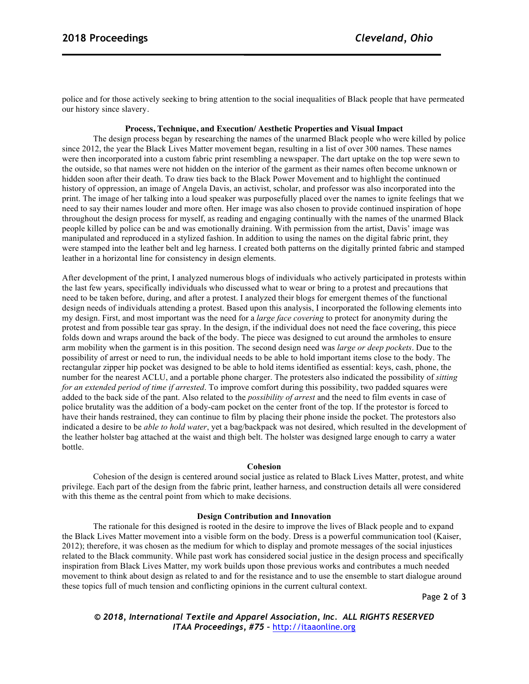police and for those actively seeking to bring attention to the social inequalities of Black people that have permeated our history since slavery.

## **Process, Technique, and Execution/ Aesthetic Properties and Visual Impact**

The design process began by researching the names of the unarmed Black people who were killed by police since 2012, the year the Black Lives Matter movement began, resulting in a list of over 300 names. These names were then incorporated into a custom fabric print resembling a newspaper. The dart uptake on the top were sewn to the outside, so that names were not hidden on the interior of the garment as their names often become unknown or hidden soon after their death. To draw ties back to the Black Power Movement and to highlight the continued history of oppression, an image of Angela Davis, an activist, scholar, and professor was also incorporated into the print. The image of her talking into a loud speaker was purposefully placed over the names to ignite feelings that we need to say their names louder and more often. Her image was also chosen to provide continued inspiration of hope throughout the design process for myself, as reading and engaging continually with the names of the unarmed Black people killed by police can be and was emotionally draining. With permission from the artist, Davis' image was manipulated and reproduced in a stylized fashion. In addition to using the names on the digital fabric print, they were stamped into the leather belt and leg harness. I created both patterns on the digitally printed fabric and stamped leather in a horizontal line for consistency in design elements.

After development of the print, I analyzed numerous blogs of individuals who actively participated in protests within the last few years, specifically individuals who discussed what to wear or bring to a protest and precautions that need to be taken before, during, and after a protest. I analyzed their blogs for emergent themes of the functional design needs of individuals attending a protest. Based upon this analysis, I incorporated the following elements into my design. First, and most important was the need for a *large face covering* to protect for anonymity during the protest and from possible tear gas spray. In the design, if the individual does not need the face covering, this piece folds down and wraps around the back of the body. The piece was designed to cut around the armholes to ensure arm mobility when the garment is in this position. The second design need was *large or deep pockets*. Due to the possibility of arrest or need to run, the individual needs to be able to hold important items close to the body. The rectangular zipper hip pocket was designed to be able to hold items identified as essential: keys, cash, phone, the number for the nearest ACLU, and a portable phone charger. The protesters also indicated the possibility of *sitting for an extended period of time if arrested*. To improve comfort during this possibility, two padded squares were added to the back side of the pant. Also related to the *possibility of arrest* and the need to film events in case of police brutality was the addition of a body-cam pocket on the center front of the top. If the protestor is forced to have their hands restrained, they can continue to film by placing their phone inside the pocket. The protestors also indicated a desire to be *able to hold water*, yet a bag/backpack was not desired, which resulted in the development of the leather holster bag attached at the waist and thigh belt. The holster was designed large enough to carry a water bottle.

#### **Cohesion**

Cohesion of the design is centered around social justice as related to Black Lives Matter, protest, and white privilege. Each part of the design from the fabric print, leather harness, and construction details all were considered with this theme as the central point from which to make decisions.

#### **Design Contribution and Innovation**

The rationale for this designed is rooted in the desire to improve the lives of Black people and to expand the Black Lives Matter movement into a visible form on the body. Dress is a powerful communication tool (Kaiser, 2012); therefore, it was chosen as the medium for which to display and promote messages of the social injustices related to the Black community. While past work has considered social justice in the design process and specifically inspiration from Black Lives Matter, my work builds upon those previous works and contributes a much needed movement to think about design as related to and for the resistance and to use the ensemble to start dialogue around these topics full of much tension and conflicting opinions in the current cultural context.

Page **2** of **3**

*© 2018, International Textile and Apparel Association, Inc. ALL RIGHTS RESERVED ITAA Proceedings, #75 –* http://itaaonline.org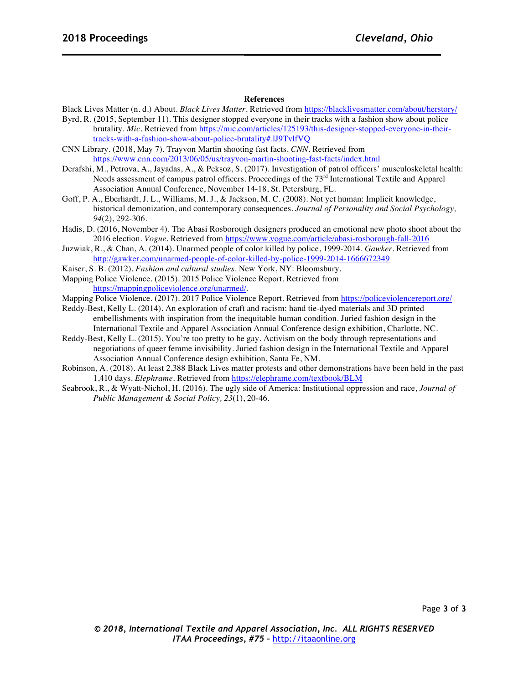# **References**

Black Lives Matter (n. d.) About. *Black Lives Matter*. Retrieved from https://blacklivesmatter.com/about/herstory/

- Byrd, R. (2015, September 11). This designer stopped everyone in their tracks with a fashion show about police brutality. *Mic*. Retrieved from https://mic.com/articles/125193/this-designer-stopped-everyone-in-theirtracks-with-a-fashion-show-about-police-brutality#.lJ9TvlfVQ
- CNN Library. (2018, May 7). Trayvon Martin shooting fast facts. *CNN*. Retrieved from https://www.cnn.com/2013/06/05/us/trayvon-martin-shooting-fast-facts/index.html
- Derafshi, M., Petrova, A., Jayadas, A., & Peksoz, S. (2017). Investigation of patrol officers' musculoskeletal health: Needs assessment of campus patrol officers. Proceedings of the 73<sup>rd</sup> International Textile and Apparel Association Annual Conference, November 14-18, St. Petersburg, FL.
- Goff, P. A., Eberhardt, J. L., Williams, M. J., & Jackson, M. C. (2008). Not yet human: Implicit knowledge, historical demonization, and contemporary consequences. *Journal of Personality and Social Psychology, 94*(2), 292-306.
- Hadis, D. (2016, November 4). The Abasi Rosborough designers produced an emotional new photo shoot about the 2016 election. *Vogue*. Retrieved from https://www.vogue.com/article/abasi-rosborough-fall-2016
- Juzwiak, R., & Chan, A. (2014). Unarmed people of color killed by police, 1999-2014. *Gawker*. Retrieved from http://gawker.com/unarmed-people-of-color-killed-by-police-1999-2014-1666672349
- Kaiser, S. B. (2012). *Fashion and cultural studies*. New York, NY: Bloomsbury.
- Mapping Police Violence. (2015). 2015 Police Violence Report. Retrieved from https://mappingpoliceviolence.org/unarmed/.
- Mapping Police Violence. (2017). 2017 Police Violence Report. Retrieved from https://policeviolencereport.org/
- Reddy-Best, Kelly L. (2014). An exploration of craft and racism: hand tie-dyed materials and 3D printed embellishments with inspiration from the inequitable human condition. Juried fashion design in the International Textile and Apparel Association Annual Conference design exhibition, Charlotte, NC.
- Reddy-Best, Kelly L. (2015). You're too pretty to be gay. Activism on the body through representations and negotiations of queer femme invisibility. Juried fashion design in the International Textile and Apparel Association Annual Conference design exhibition, Santa Fe, NM.
- Robinson, A. (2018). At least 2,388 Black Lives matter protests and other demonstrations have been held in the past 1,410 days. *Elephrame*. Retrieved from https://elephrame.com/textbook/BLM
- Seabrook, R., & Wyatt-Nichol, H. (2016). The ugly side of America: Institutional oppression and race, *Journal of Public Management & Social Policy, 23*(1), 20-46.